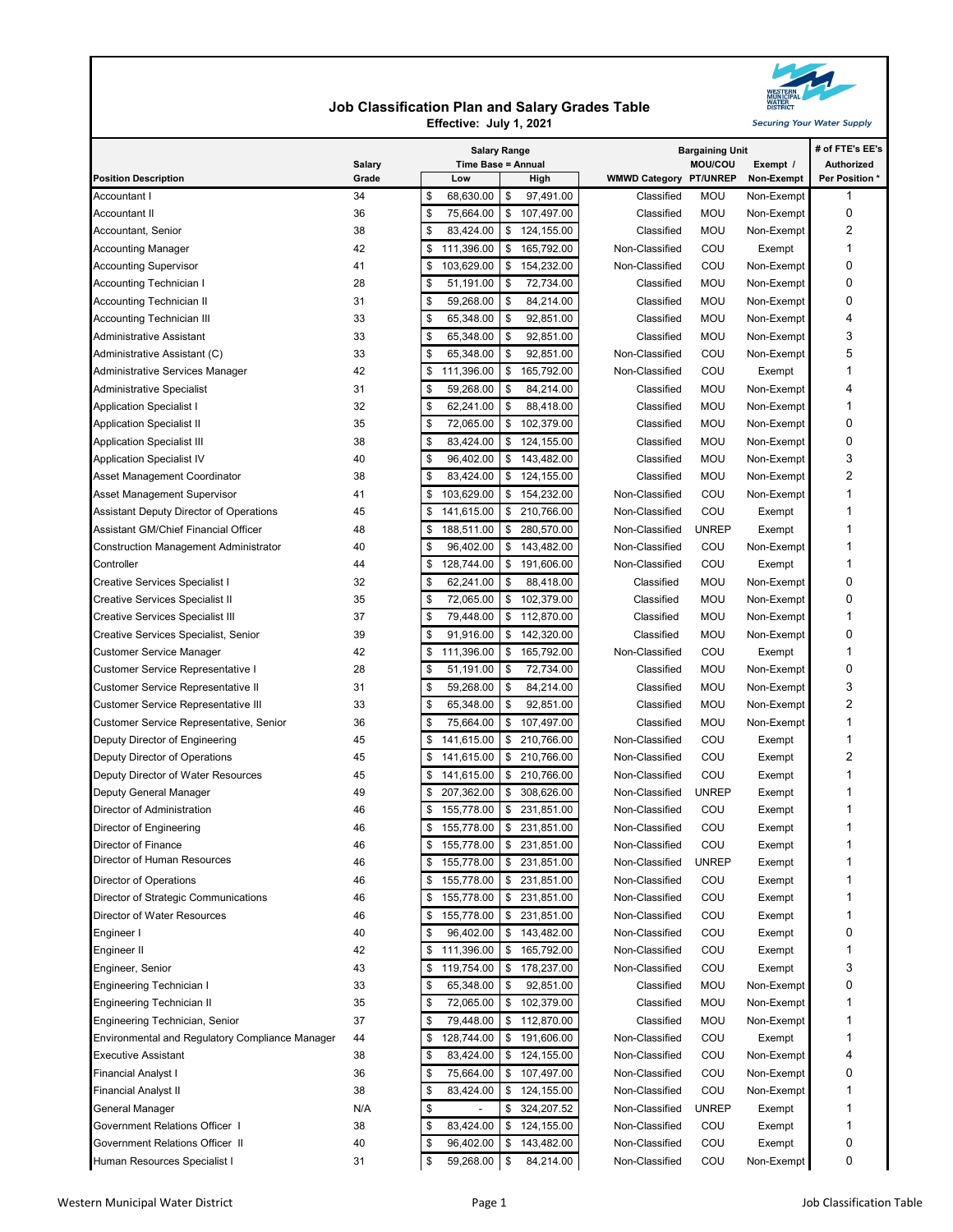## **Job Classification Plan and Salary Grades Table Effective: July 1, 2021**



|                                                 | <b>Salary</b> | <b>Salary Range</b><br>Time Base = Annual |                          | <b>Bargaining Unit</b><br><b>MOU/COU</b><br>Exempt / |                 |                   | # of FTE's EE's<br>Authorized |  |
|-------------------------------------------------|---------------|-------------------------------------------|--------------------------|------------------------------------------------------|-----------------|-------------------|-------------------------------|--|
| <b>Position Description</b>                     | Grade         | Low                                       | High                     | <b>WMWD Category</b>                                 | <b>PT/UNREP</b> | <b>Non-Exempt</b> | Per Position <sup>*</sup>     |  |
| <b>Accountant I</b>                             | 34            | \$<br>68,630.00                           | \$<br>97,491.00          | Classified                                           | MOU             | Non-Exempt        |                               |  |
| Accountant II                                   | 36            | \$<br>75,664.00                           | 107,497.00<br>\$         | Classified                                           | <b>MOU</b>      | Non-Exempt        | 0                             |  |
| Accountant, Senior                              | 38            | 83,424.00<br>\$                           | 124,155.00<br>\$         | Classified                                           | <b>MOU</b>      | Non-Exempt        | 2                             |  |
| Accounting Manager                              | 42            | 111,396.00<br>\$                          | 165,792.00<br>\$         | Non-Classified                                       | COU             | Exempt            | 1                             |  |
| <b>Accounting Supervisor</b>                    | 41            | 103,629.00<br>\$                          | \$<br>154,232.00         | Non-Classified                                       | COU             | Non-Exempt        | 0                             |  |
| <b>Accounting Technician I</b>                  | 28            | 51,191.00<br>\$                           | \$<br>72,734.00          | Classified                                           | <b>MOU</b>      | Non-Exempt        | 0                             |  |
| Accounting Technician II                        | 31            | 59,268.00<br>\$                           | \$<br>84,214.00          | Classified                                           | <b>MOU</b>      | Non-Exempt        | 0                             |  |
| <b>Accounting Technician III</b>                | 33            | 65,348.00<br>\$                           | \$<br>92,851.00          | Classified                                           | <b>MOU</b>      | Non-Exempt        | 4                             |  |
| <b>Administrative Assistant</b>                 | 33            | \$<br>65,348.00                           | \$<br>92,851.00          | Classified                                           | <b>MOU</b>      | Non-Exempt        | 3                             |  |
| Administrative Assistant (C)                    | 33            | \$<br>65,348.00                           | \$<br>92,851.00          | Non-Classified                                       | COU             | Non-Exempt        | 5                             |  |
| Administrative Services Manager                 | 42            | 111,396.00<br>\$                          | 165,792.00<br>\$         | Non-Classified                                       | COU             | Exempt            |                               |  |
| Administrative Specialist                       | 31            | 59,268.00<br>\$                           | \$<br>84,214.00          | Classified                                           | <b>MOU</b>      | Non-Exempt        | 4                             |  |
| <b>Application Specialist I</b>                 | 32            | \$<br>62,241.00                           | \$<br>88,418.00          | Classified                                           | <b>MOU</b>      | Non-Exempt        |                               |  |
| <b>Application Specialist II</b>                | 35            | \$<br>72,065.00                           | \$<br>102,379.00         | Classified                                           | <b>MOU</b>      | Non-Exempt        | 0                             |  |
| <b>Application Specialist III</b>               | 38            | \$<br>83,424.00                           | \$<br>124,155.00         | Classified                                           | MOU             | Non-Exempt        | 0                             |  |
| <b>Application Specialist IV</b>                | 40            | \$<br>96,402.00                           | \$<br>143,482.00         | Classified                                           | MOU             | Non-Exempt        | 3                             |  |
| Asset Management Coordinator                    | 38            | \$<br>83,424.00                           | 124,155.00<br>\$         | Classified                                           | <b>MOU</b>      | Non-Exempt        | 2                             |  |
| Asset Management Supervisor                     | 41            | 103,629.00<br>\$                          | \$<br>154,232.00         | Non-Classified                                       | COU             | Non-Exempt        |                               |  |
| Assistant Deputy Director of Operations         | 45            | 141,615.00<br>\$                          | \$<br>210,766.00         | Non-Classified                                       | COU             | Exempt            |                               |  |
| Assistant GM/Chief Financial Officer            | 48            | 188,511.00<br>\$                          | \$<br>280,570.00         | Non-Classified                                       | <b>UNREP</b>    | Exempt            |                               |  |
| <b>Construction Management Administrator</b>    | 40            | 96,402.00<br>\$                           | \$<br>143,482.00         | Non-Classified                                       | COU             | Non-Exempt        |                               |  |
| Controller                                      | 44            | 128,744.00<br>\$                          | \$<br>191,606.00         | Non-Classified                                       | COU             | Exempt            |                               |  |
| Creative Services Specialist I                  | 32            | \$<br>62,241.00                           | \$<br>88,418.00          | Classified                                           | <b>MOU</b>      | Non-Exempt        | 0                             |  |
| <b>Creative Services Specialist II</b>          | 35            | 72,065.00<br>\$                           | 102,379.00<br>\$         | Classified                                           | <b>MOU</b>      | Non-Exempt        | 0                             |  |
| <b>Creative Services Specialist III</b>         | 37            | \$<br>79,448.00                           | \$<br>112,870.00         | Classified                                           | <b>MOU</b>      | Non-Exempt        |                               |  |
| Creative Services Specialist, Senior            | 39            | \$<br>91,916.00                           | \$<br>142,320.00         | Classified                                           | <b>MOU</b>      | Non-Exempt        | 0                             |  |
| <b>Customer Service Manager</b>                 | 42            | 111,396.00<br>\$                          | \$<br>165,792.00         | Non-Classified                                       | COU             | Exempt            | 1                             |  |
| Customer Service Representative I               | 28            | 51,191.00<br>\$                           | 72,734.00<br>\$          | Classified                                           | <b>MOU</b>      | Non-Exempt        | 0                             |  |
| Customer Service Representative II              | 31            | 59,268.00<br>\$                           | \$<br>84,214.00          | Classified                                           | <b>MOU</b>      | Non-Exempt        | 3                             |  |
| Customer Service Representative III             | 33            | \$<br>65,348.00                           | \$<br>92,851.00          | Classified                                           | <b>MOU</b>      | Non-Exempt        | 2                             |  |
| Customer Service Representative, Senior         | 36            | \$<br>75,664.00                           | \$<br>107,497.00         | Classified                                           | MOU             | Non-Exempt        | 1                             |  |
| Deputy Director of Engineering                  | 45            | 141,615.00<br>\$                          | 210,766.00<br>\$         | Non-Classified                                       | COU             | Exempt            | 1                             |  |
| Deputy Director of Operations                   | 45            | 141,615.00<br>\$                          | 210,766.00<br>\$         | Non-Classified                                       | COU             | Exempt            | 2                             |  |
| Deputy Director of Water Resources              | 45            | 141,615.00<br>\$                          | 210,766.00<br>\$         | Non-Classified                                       | COU             | Exempt            |                               |  |
| Deputy General Manager                          | 49            | 207,362.00<br>\$                          | \$<br>308,626.00         | Non-Classified                                       | <b>UNREP</b>    | Exempt            |                               |  |
| Director of Administration                      | 46            | 155,778.00<br>\$                          | \$<br>231,851.00         | Non-Classified                                       | COU             | Exempt            |                               |  |
| Director of Engineering                         | 46            | \$.                                       | 155,778.00 \$ 231,851.00 | Non-Classified                                       | COU             | Exempt            |                               |  |
| Director of Finance                             | 46            | 155,778.00<br>\$                          | \$231,851.00             | Non-Classified                                       | COU             | Exempt            |                               |  |
| Director of Human Resources                     | 46            | 155,778.00<br>\$                          | \$<br>231,851.00         | Non-Classified                                       | <b>UNREP</b>    | Exempt            |                               |  |
| Director of Operations                          | 46            | 155,778.00<br>\$                          | \$<br>231,851.00         | Non-Classified                                       | COU             | Exempt            |                               |  |
| Director of Strategic Communications            | 46            | 155,778.00<br>\$                          | 231,851.00<br>\$         | Non-Classified                                       | COU             | Exempt            |                               |  |
| Director of Water Resources                     | 46            | 155,778.00<br>\$                          | 231,851.00<br>\$         | Non-Classified                                       | COU             | Exempt            |                               |  |
| Engineer I                                      | 40            | 96,402.00<br>\$                           | 143,482.00<br>\$         | Non-Classified                                       | COU             | Exempt            | 0                             |  |
| Engineer II                                     | 42            | 111,396.00<br>\$                          | 165,792.00<br>\$         | Non-Classified                                       | COU             | Exempt            |                               |  |
| Engineer, Senior                                | 43            | 119,754.00<br>\$                          | 178,237.00<br>\$         | Non-Classified                                       | COU             | Exempt            | 3                             |  |
| <b>Engineering Technician I</b>                 | 33            | 65,348.00<br>\$                           | 92,851.00<br>\$          | Classified                                           | <b>MOU</b>      | Non-Exempt        | 0                             |  |
| Engineering Technician II                       | 35            | 72,065.00<br>\$                           | 102,379.00<br>\$         | Classified                                           | <b>MOU</b>      | Non-Exempt        |                               |  |
| Engineering Technician, Senior                  | 37            | \$<br>79,448.00                           | 112,870.00<br>\$         | Classified                                           | <b>MOU</b>      | Non-Exempt        |                               |  |
| Environmental and Regulatory Compliance Manager | 44            | 128,744.00<br>\$                          | 191,606.00<br>\$         | Non-Classified                                       | COU             | Exempt            | 1                             |  |
| <b>Executive Assistant</b>                      | 38            | 83,424.00<br>\$                           | 124,155.00<br>\$         | Non-Classified                                       | COU             | Non-Exempt        |                               |  |
| <b>Financial Analyst I</b>                      | 36            | 75,664.00<br>\$                           | 107,497.00<br>\$         | Non-Classified                                       | COU             | Non-Exempt        | 0                             |  |
| <b>Financial Analyst II</b>                     | 38            | 83,424.00<br>\$                           | \$<br>124,155.00         | Non-Classified                                       | COU             | Non-Exempt        |                               |  |
| General Manager                                 | N/A           | \$                                        | 324,207.52<br>\$         | Non-Classified                                       | <b>UNREP</b>    | Exempt            |                               |  |
| Government Relations Officer I                  | 38            | 83,424.00<br>\$                           | 124,155.00<br>\$         | Non-Classified                                       | COU             | Exempt            |                               |  |
| Government Relations Officer II                 | 40            | 96,402.00<br>\$                           | \$<br>143,482.00         | Non-Classified                                       | COU             | Exempt            | 0                             |  |
| Human Resources Specialist I                    | 31            | \$<br>59,268.00                           | \$<br>84,214.00          | Non-Classified                                       | COU             | Non-Exempt        | 0                             |  |